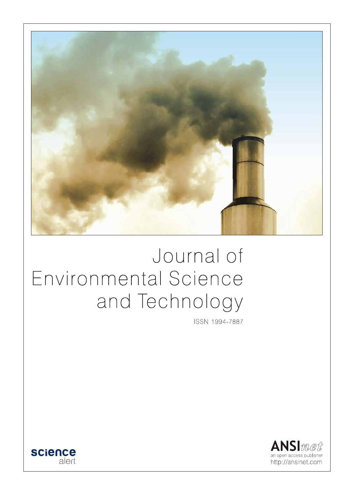

# Journal of Environmental Science and Technology

ISSN 1994-7887



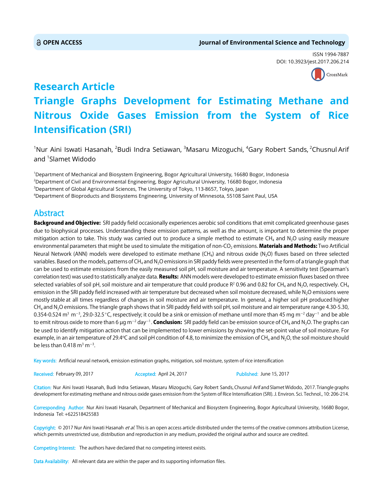ISSN 1994-7887 DOI: 10.3923/jest.2017.206.214



# **Research Article Triangle Graphs Development for Estimating Methane and Nitrous Oxide Gases Emission from the System of Rice Intensification (SRI)**

 $^{\rm 1}$ Nur Aini Iswati Hasanah,  $^{\rm 2}$ Budi Indra Setiawan,  $^{\rm 3}$ Masaru Mizoguchi,  $^{\rm 4}$ Gary Robert Sands,  $^{\rm 2}$ Chusnul Arif and <sup>1</sup>Slamet Widodo

 Department of Mechanical and Biosystem Engineering, Bogor Agricultural University, 16680 Bogor, Indonesia Department of Civil and Environmental Engineering, Bogor Agricultural University, 16680 Bogor, Indonesia  $^3$ Department of Global Agricultural Sciences, The University of Tokyo, 113-8657, Tokyo, Japan Department of Bioproducts and Biosystems Engineering, University of Minnesota, 55108 Saint Paul, USA

# Abstract

Background and Objective: SRI paddy field occasionally experiences aerobic soil conditions that emit complicated greenhouse gases due to biophysical processes. Understanding these emission patterns, as well as the amount, is important to determine the proper mitigation action to take. This study was carried out to produce a simple method to estimate CH<sub>4</sub> and N<sub>2</sub>O using easily measure environmental parameters that might be used to simulate the mitigation of non-CO<sub>2</sub> emissions. Materials and Methods: Two Artificial Neural Network (ANN) models were developed to estimate methane  $(CH_4)$  and nitrous oxide (N<sub>2</sub>O) fluxes based on three selected variables. Based on the models, patterns of CH<sub>4</sub> and N<sub>2</sub>O emissions in SRI paddy fields were presented in the form of a triangle graph that can be used to estimate emissions from the easily measured soil pH, soil moisture and air temperature. A sensitivity test (Spearman's correlation test) was used to statistically analyze data. Results: ANN models were developed to estimate emission fluxes based on three selected variables of soil pH, soil moisture and air temperature that could produce R<sup>2</sup> 0.96 and 0.82 for CH<sub>4</sub> and N<sub>2</sub>O, respectively. CH<sub>4</sub> emission in the SRI paddy field increased with air temperature but decreased when soil moisture decreased, while N<sub>2</sub>O emissions were mostly stable at all times regardless of changes in soil moisture and air temperature. In general, a higher soil pH produced higher  $CH<sub>4</sub>$  and N<sub>2</sub>O emissions. The triangle graph shows that in SRI paddy field with soil pH, soil moisture and air temperature range 4.30-5.30, 0.354-0.524 m $^3$  m $^{-3}$ , 29.0-32.5°C, respectively; it could be a sink or emission of methane until more than 45 mg m $^{-2}$  day $^{-1}$  and be able to emit nitrous oxide to more than 6 μg m<sup>-2</sup> day<sup>-1</sup>. **Conclusion:** SRI paddy field can be emission source of CH<sub>4</sub> and N<sub>2</sub>O. The graphs can be used to identify mitigation action that can be implemented to lower emissions by showing the set-point value of soil moisture. For example, in an air temperature of 29.4°C and soil pH condition of 4.8, to minimize the emission of CH<sub>4</sub> and N<sub>2</sub>O, the soil moisture should be less than 0.418  $\mathrm{m}^3 \mathrm{m}^{-3}$ .

Key words: Artificial neural network, emission estimation graphs, mitigation, soil moisture, system of rice intensification

Received: February 09, 2017 **Accepted: April 24, 2017** Published: June 15, 2017

Citation: Nur Aini Iswati Hasanah, Budi Indra Setiawan, Masaru Mizoguchi, Gary Robert Sands, Chusnul Arif and Slamet Widodo, 2017. Triangle graphs development for estimating methane and nitrous oxide gases emission from the System of Rice Intensification (SRI). J. Environ. Sci. Technol., 10: 206-214.

Corresponding Author: Nur Aini Iswati Hasanah, Department of Mechanical and Biosystem Engineering, Bogor Agricultural University, 16680 Bogor, Indonesia Tel: +622518425583

Copyright: © 2017 Nur Aini Iswati Hasanah et al. This is an open access article distributed under the terms of the creative commons attribution License, which permits unrestricted use, distribution and reproduction in any medium, provided the original author and source are credited.

Competing Interest: The authors have declared that no competing interest exists.

Data Availability: All relevant data are within the paper and its supporting information files.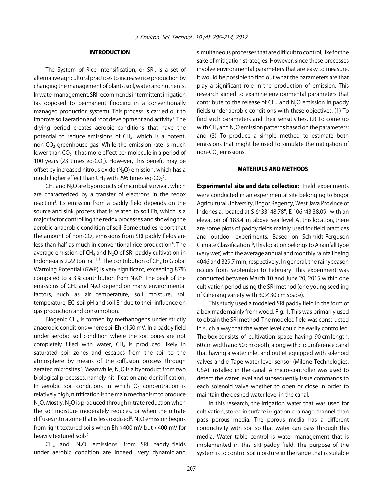# INTRODUCTION

The System of Rice Intensification, or SRI, is a set of alternative agricultural practices to increase rice production by changing the management of plants, soil, water and nutrients. In water management, SRI recommends intermittent irrigation (as opposed to permanent flooding in a conventionally managed production system). This process is carried out to improve soil aeration and root development and activity<sup>1</sup>. The drying period creates aerobic conditions that have the potential to reduce emissions of  $CH<sub>4</sub>$ , which is a potent, non-CO<sub>2</sub> greenhouse gas. While the emission rate is much lower than  $CO<sub>2</sub>$  it has more effect per molecule in a period of 100 years (23 times eq-CO<sub>2</sub>). However, this benefit may be offset by increased nitrous oxide  $(N_2O)$  emission, which has a much higher effect than CH<sub>4</sub> with 296 times eq-CO<sub>2</sub><sup>2</sup>.

 $CH<sub>4</sub>$  and N<sub>2</sub>O are byproducts of microbial survival, which are characterized by a transfer of electrons in the redox reaction<sup>3</sup>. Its emission from a paddy field depends on the source and sink process that is related to soil Eh, which is a major factor controlling the redox processes and showing the aerobic-anaerobic condition of soil. Some studies report that the amount of non-CO<sub>2</sub> emissions from SRI paddy fields are less than half as much in conventional rice production<sup>4</sup>. The average emission of  $CH<sub>4</sub>$  and N<sub>2</sub>O of SRI paddy cultivation in Indonesia is 2.22 ton ha<sup>-15</sup>. The contribution of CH<sub>4</sub> to Global Warming Potential (GWP) is very significant, exceeding 87% compared to a 3% contribution from  $N_2O^6$ . The peak of the emissions of  $CH<sub>4</sub>$  and N<sub>2</sub>O depend on many environmental factors, such as air temperature, soil moisture, soil temperature, EC, soil pH and soil Eh due to their influence on gas production and consumption.

Biogenic CH4 is formed by methanogens under strictly anaerobic conditions where soil Eh <150 mV. In a paddy field under aerobic soil condition where the soil pores are not completely filled with water,  $CH<sub>4</sub>$  is produced likely in saturated soil zones and escapes from the soil to the atmosphere by means of the diffusion process through aerated microsites<sup>7</sup>. Meanwhile, N<sub>2</sub>O is a byproduct from two biological processes, namely nitrification and denitrification. In aerobic soil conditions in which  $O<sub>2</sub>$  concentration is relatively high, nitrification is the main mechanism to produce  $N_2O$ . Mostly,  $N_2O$  is produced through nitrate reduction when the soil moisture moderately reduces, or when the nitrate diffuses into a zone that is less oxidized $^8$ . N<sub>2</sub>O emission begins from light textured soils when Eh >400 mV but <400 mV for heavily textured soils<sup>9</sup>.

 $CH<sub>4</sub>$  and  $N<sub>2</sub>O$  emissions from SRI paddy fields under aerobic condition are indeed very dynamic and simultaneous processes that are difficult to control, like for the sake of mitigation strategies. However, since these processes involve environmental parameters that are easy to measure, it would be possible to find out what the parameters are that play a significant role in the production of emission. This research aimed to examine environmental parameters that contribute to the release of  $CH<sub>4</sub>$  and  $N<sub>2</sub>O$  emission in paddy fields under aerobic conditions with these objectives: (1) To find such parameters and their sensitivities, (2) To come up with CH<sub>4</sub> and N<sub>2</sub>O emission patterns based on the parameters; and (3) To produce a simple method to estimate both emissions that might be used to simulate the mitigation of non- $CO<sub>2</sub>$  emissions.

# MATERIALS AND METHODS

**Experimental site and data collection:** Field experiments were conducted in an experimental site belonging to Bogor Agricultural University, Bogor Regency, West Java Province of Indonesia, located at S  $6°33'$  48.78"; E 106 $°43'38.09"$  with an elevation of 183.4 m above sea level. At this location, there are some plots of paddy fields mainly used for field practices and outdoor experiments. Based on Schmidt-Ferguson Climate Classification<sup>10</sup>, this location belongs to A rainfall type (very wet) with the average annual and monthly rainfall being 4046 and 329.7 mm, respectively. In general, the rainy season occurs from September to February. This experiment was conducted between March 10 and June 20, 2015 within one cultivation period using the SRI method (one young seedling of Ciherang variety with  $30 \times 30$  cm space).

This study used a modeled SRI paddy field in the form of a box made mainly from wood, Fig. 1. This was primarily used to obtain the SRI method. The modeled field was constructed in such a way that the water level could be easily controlled. The box consists of cultivation space having 90 cm length, 60 cm width and 50 cm depth, along with circumference canal that having a water inlet and outlet equipped with solenoid valves and e-Tape water level sensor (Milone Technologies, USA) installed in the canal. A micro-controller was used to detect the water level and subsequently issue commands to each solenoid valve whether to open or close in order to maintain the desired water level in the canal.

In this research, the irrigation water that was used for cultivation, stored in surface irrigation-drainage channel than pass porous media. The porous media has a different conductivity with soil so that water can pass through this media. Water table control is water management that is implemented in this SRI paddy field. The purpose of the system is to control soil moisture in the range that is suitable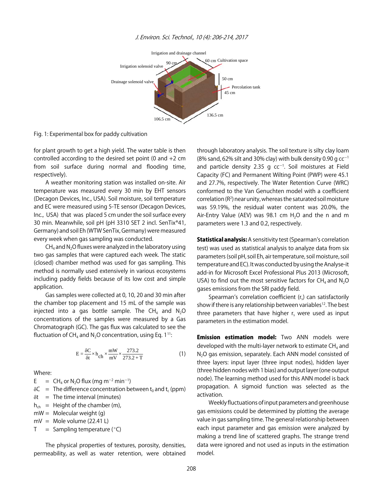

#### J. Environ. Sci. Technol., 10 (4): 206-214, 2017

Fig. 1: Experimental box for paddy cultivation

for plant growth to get a high yield. The water table is then controlled according to the desired set point (0 and  $+2$  cm from soil surface during normal and flooding time, respectively).

A weather monitoring station was installed on-site. Air temperature was measured every 30 min by EHT sensors (Decagon Devices, Inc., USA). Soil moisture, soil temperature and EC were measured using 5-TE sensor (Decagon Devices, Inc., USA) that was placed 5 cm under the soil surface every 30 min. Meanwhile, soil pH (pH 3310 SET 2 incl. SenTix®41, Germany) and soil Eh (WTW SenTix, Germany) were measured every week when gas sampling was conducted.

 $CH<sub>4</sub>$  and N<sub>2</sub>O fluxes were analyzed in the laboratory using two gas samples that were captured each week. The static (closed) chamber method was used for gas sampling. This method is normally used extensively in various ecosystems including paddy fields because of its low cost and simple application.

Gas samples were collected at 0, 10, 20 and 30 min after the chamber top placement and 15 mL of the sample was injected into a gas bottle sample. The CH<sub>4</sub> and  $N_2O$ concentrations of the samples were measured by a Gas Chromatograph (GC). The gas flux was calculated to see the fluctuation of CH<sub>4</sub> and N<sub>2</sub>O concentration, using Eq.  $1^{11}$ :

$$
E = \frac{\delta C}{\delta t} \times h_{ch} \times \frac{mW}{mV} \times \frac{273.2}{273.2 + T}
$$
 (1)

#### Where:

E =  $CH_4$  or N<sub>2</sub>O flux (mg m<sup>-2</sup> min<sup>-1</sup>)

- $\delta C$  = The difference concentration between t<sub>0</sub> and t<sub>c</sub> (ppm)
- $\delta t$  = The time interval (minutes)
- $h_{ch}$  = Height of the chamber (m),

 $mW =$  Molecular weight (g)

 $mV =$  Mole volume (22.41 L)

 $T =$  Sampling temperature ( $°C$ )

The physical properties of textures, porosity, densities, permeability, as well as water retention, were obtained through laboratory analysis. The soil texture is silty clay loam (8% sand, 62% silt and 30% clay) with bulk density 0.90 g  $cc^{-1}$ and particle density 2.35 g  $cc^{-1}$ . Soil moistures at Field Capacity (FC) and Permanent Wilting Point (PWP) were 45.1 and 27.7%, respectively. The Water Retention Curve (WRC) conformed to the Van Genuchten model with a coefficient correlation (R2 ) near unity, whereas the saturated soil moisture was 59.19%, the residual water content was 20.0%, the Air-Entry Value (AEV) was 98.1 cm  $H_2O$  and the n and m parameters were 1.3 and 0.2, respectively.

**Statistical analysis:** A sensitivity test (Spearman's correlation test) was used as statistical analysis to analyze data from six parameters (soil pH, soil Eh, air temperature, soil moisture, soil temperature and EC). It was conducted by using the Analyse-it add-in for Microsoft Excel Professional Plus 2013 (Microsoft, USA) to find out the most sensitive factors for  $CH_4$  and  $N_2O$ gases emissions from the SRI paddy field.

Spearman's correlation coefficient  $(r<sub>s</sub>)$  can satisfactorily show if there is any relationship between variables<sup>12</sup>. The best three parameters that have higher  $r_s$  were used as input parameters in the estimation model.

**Emission estimation model:** Two ANN models were developed with the multi-layer network to estimate  $CH<sub>4</sub>$  and N<sub>2</sub>O gas emission, separately. Each ANN model consisted of three layers: input layer (three input nodes), hidden layer (three hidden nodes with 1 bias) and output layer (one output node). The learning method used for this ANN model is back propagation. A sigmoid function was selected as the activation.

Weekly fluctuations of input parameters and greenhouse gas emissions could be determined by plotting the average value in gas sampling time. The general relationship between each input parameter and gas emission were analyzed by making a trend line of scattered graphs. The strange trend data were ignored and not used as inputs in the estimation model.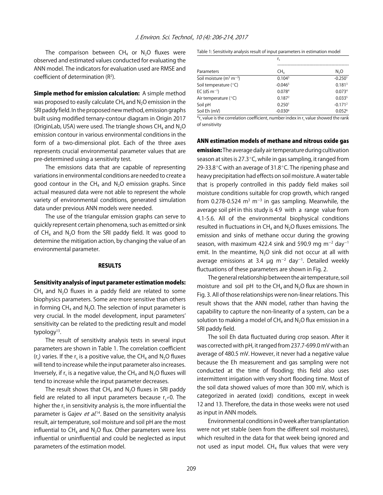The comparison between  $CH_4$  or  $N_2O$  fluxes were observed and estimated values conducted for evaluating the ANN model. The indicators for evaluation used are RMSE and coefficient of determination  $(R^2)$ .

**Simple method for emission calculation:** A simple method was proposed to easily calculate  $CH<sub>4</sub>$  and N<sub>2</sub>O emission in the SRI paddy field. In the proposed new method, emission graphs built using modified ternary-contour diagram in Origin 2017 (OriginLab, USA) were used. The triangle shows  $CH_4$  and  $N_2O$ emission contour in various environmental conditions in the form of a two-dimensional plot. Each of the three axes represents crucial environmental parameter values that are pre-determined using a sensitivity test.

The emissions data that are capable of representing variations in environmental conditions are needed to create a good contour in the CH<sub>4</sub> and N<sub>2</sub>O emission graphs. Since actual measured data were not able to represent the whole variety of environmental conditions, generated simulation data under previous ANN models were needed.

The use of the triangular emission graphs can serve to quickly represent certain phenomena, such as emitted or sink of  $CH_4$  and N<sub>2</sub>O from the SRI paddy field. It was good to determine the mitigation action, by changing the value of an environmental parameter.

#### **RESULTS**

#### Sensitivity analysis of input parameter estimation models:

 $CH<sub>4</sub>$  and N<sub>2</sub>O fluxes in a paddy field are related to some biophysics parameters. Some are more sensitive than others in forming  $CH_4$  and  $N_2O$ . The selection of input parameter is very crucial. In the model development, input parameters' sensitivity can be related to the predicting result and model typology $13$ .

The result of sensitivity analysis tests in several input parameters are shown in Table 1. The correlation coefficient  $(r<sub>s</sub>)$  varies. If the  $r<sub>s</sub>$  is a positive value, the CH<sub>4</sub> and N<sub>2</sub>O fluxes will tend to increase while the input parameter also increases. Inversely, if r<sub>s</sub> is a negative value, the CH<sub>4</sub> and N<sub>2</sub>O fluxes will tend to increase while the input parameter decreases.

The result shows that  $CH<sub>4</sub>$  and N<sub>2</sub>O fluxes in SRI paddy field are related to all input parameters because  $r \neq 0$ . The higher the  $r<sub>s</sub>$  in sensitivity analysis is, the more influential the parameter is Gajev *et al*.<sup>14</sup>. Based on the sensitivity analysis result, air temperature, soil moisture and soil pH are the most influential to  $CH_4$  and N<sub>2</sub>O flux. Other parameters were less influential or uninfluential and could be neglected as input parameters of the estimation model.

Table 1: Sensitivity analysis result of input parameters in estimation model

| Parameters                 | r,                    |                       |
|----------------------------|-----------------------|-----------------------|
|                            | CH,                   | N <sub>2</sub> O      |
| Soil moisture ( $m3 m-3$ ) | 0.104 <sup>3</sup>    | $-0.250$ <sup>1</sup> |
| Soil temperature (°C)      | $-0.0465$             | 0.181 <sup>3</sup>    |
| $EC$ (dS m <sup>-1</sup> ) | 0.0784                | 0.0734                |
| Air temperature $(°C)$     | 0.1872                | 0.0335                |
| Soil pH                    | 0.250 <sup>1</sup>    | $-0.1712$             |
| Soil Eh (mV)               | $-0.030$ <sup>6</sup> | 0.052 <sup>6</sup>    |

 $*$ r, value is the correlation coefficient, number index in r, value showed the rank of sensitivity

#### ANN estimation models of methane and nitrous oxide gas

emission: The average daily air temperature during cultivation season at sites is 27.3 $\degree$ C, while in gas sampling, it ranged from 29-33.8 $\degree$ C with an average of 31.8 $\degree$ C. The ripening phase and heavy precipitation had effects on soil moisture. A water table that is properly controlled in this paddy field makes soil moisture conditions suitable for crop growth, which ranged from 0.278-0.524 m<sup>3</sup> m<sup>-3</sup> in gas sampling. Meanwhile, the average soil pH in this study is 4.9 with a range value from 4.1-5.6. All of the environmental biophysical conditions resulted in fluctuations in  $CH_4$  and  $N_2O$  fluxes emissions. The emission and sinks of methane occur during the growing season, with maximum 422.4 sink and 590.9 mg m<sup>-2</sup> day<sup>-1</sup> emit. In the meantime,  $N_2O$  sink did not occur at all with average emissions at 3.4  $\mu$ g m<sup>-2</sup> day<sup>-1</sup>. Detailed weekly fluctuations of these parameters are shown in Fig. 2.

The general relationship between the air temperature, soil moisture and soil pH to the  $CH<sub>4</sub>$  and N<sub>2</sub>O flux are shown in Fig. 3. All of those relationships were non-linear relations. This result shows that the ANN model, rather than having the capability to capture the non-linearity of a system, can be a solution to making a model of  $CH_4$  and  $N_2O$  flux emission in a SRI paddy field.

The soil Eh data fluctuated during crop season. After it was corrected with pH, it ranged from 237.7-699.0 mV with an average of 480.5 mV. However, it never had a negative value because the Eh measurement and gas sampling were not conducted at the time of flooding; this field also uses intermittent irrigation with very short flooding time. Most of the soil data showed values of more than 300 mV, which is categorized in aerated (oxid) conditions, except in week 12 and 13. Therefore, the data in those weeks were not used as input in ANN models.

Environmental conditions in 0 week after transplantation were not yet stable (seen from the different soil moistures), which resulted in the data for that week being ignored and not used as input model.  $CH<sub>4</sub>$  flux values that were very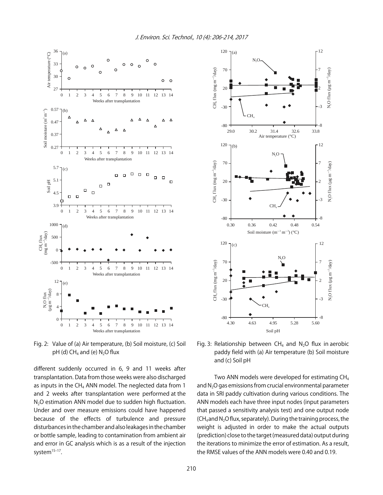

Fig. 2: Value of (a) Air temperature, (b) Soil moisture, (c) Soil pH (d)  $CH_4$  and (e) N<sub>2</sub>O flux

different suddenly occurred in 6, 9 and 11 weeks after transplantation. Data from those weeks were also discharged as inputs in the CH<sub>4</sub> ANN model. The neglected data from 1 and 2 weeks after transplantation were performed at the N<sub>2</sub>O estimation ANN model due to sudden high fluctuation. Under and over measure emissions could have happened because of the effects of turbulence and pressure disturbances in the chamber and also leakages in the chamber or bottle sample, leading to contamination from ambient air and error in GC analysis which is as a result of the injection system<sup>15-17</sup>.



Fig. 3: Relationship between  $CH_4$  and N<sub>2</sub>O flux in aerobic paddy field with (a) Air temperature (b) Soil moisture and (c) Soil pH

Two ANN models were developed for estimating CH<sub>4</sub> and  $N<sub>2</sub>O$  gas emissions from crucial environmental parameter data in SRI paddy cultivation during various conditions. The ANN models each have three input nodes (input parameters that passed a sensitivity analysis test) and one output node  $(CH_4$  and N<sub>2</sub>O flux, separately). During the training process, the weight is adjusted in order to make the actual outputs (prediction) close to the target (measured data) output during the iterations to minimize the error of estimation. As a result, the RMSE values of the ANN models were 0.40 and 0.19.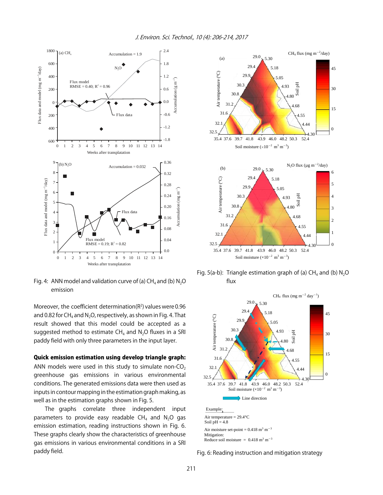

Fig. 4: ANN model and validation curve of (a)  $CH<sub>4</sub>$  and (b)  $N<sub>2</sub>O$ emission

Moreover, the coefficient determination( $R<sup>2</sup>$ ) values were 0.96 and 0.82 for CH<sub>4</sub> and N<sub>2</sub>O, respectively, as shown in Fig. 4. That result showed that this model could be accepted as a suggested method to estimate  $CH_4$  and  $N_2O$  fluxes in a SRI paddy field with only three parameters in the input layer.

# Quick emission estimation using develop triangle graph:

ANN models were used in this study to simulate non-CO<sub>2</sub> greenhouse gas emissions in various environmental conditions. The generated emissions data were then used as inputs in contour mapping in the estimation graph making, as well as in the estimation graphs shown in Fig. 5.

The graphs correlate three independent input parameters to provide easy readable  $CH<sub>4</sub>$  and N<sub>2</sub>O gas emission estimation, reading instructions shown in Fig. 6. These graphs clearly show the characteristics of greenhouse gas emissions in various environmental conditions in a SRI paddy field.



Fig. 5(a-b): Triangle estimation graph of (a)  $CH<sub>4</sub>$  and (b)  $N<sub>2</sub>O$ flux



Soil  $pH = 4.8$ Air moisture set-point =  $0.418 \text{ m}^3 \text{ m}^{-3}$ Mitigation: Reduce soil moisture =  $0.418 \text{ m}^3 \text{ m}^{-3}$ 

Fig. 6: Reading instruction and mitigation strategy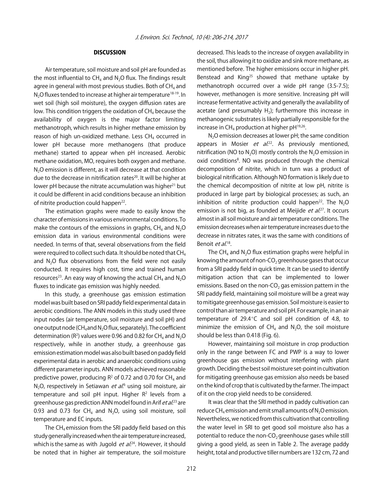# **DISCUSSION**

Air temperature, soil moisture and soil pH are founded as the most influential to  $CH_4$  and  $N_2O$  flux. The findings result agree in general with most previous studies. Both of  $CH<sub>4</sub>$  and N<sub>2</sub>O fluxes tended to increase at higher air temperature<sup>18-19</sup>. In wet soil (high soil moisture), the oxygen diffusion rates are low. This condition triggers the oxidation of  $CH<sub>4</sub>$  because the availability of oxygen is the major factor limiting methanotroph, which results in higher methane emission by reason of high un-oxidized methane. Less  $CH<sub>4</sub>$  occurred in lower pH because more methanogens (that produce methane) started to appear when pH increased. Aerobic methane oxidation, MO, requires both oxygen and methane. N<sub>2</sub>O emission is different, as it will decrease at that condition due to the decrease in nitrification rates<sup>20</sup>. It will be higher at lower pH because the nitrate accumulation was higher<sup>21</sup> but it could be different in acid conditions because an inhibition of nitrite production could happen<sup>22</sup>.

The estimation graphs were made to easily know the character of emissions in various environmental conditions. To make the contours of the emissions in graphs,  $CH<sub>4</sub>$  and  $N<sub>2</sub>O$ emission data in various environmental conditions were needed. In terms of that, several observations from the field were required to collect such data. It should be noted that CH<sub>4</sub> and  $N<sub>2</sub>O$  flux observations from the field were not easily conducted. It requires high cost, time and trained human resources<sup>23</sup>. An easy way of knowing the actual CH<sub>4</sub> and N<sub>2</sub>O fluxes to indicate gas emission was highly needed.

In this study, a greenhouse gas emission estimation model was built based on SRI paddy field experimental data in aerobic conditions. The ANN models in this study used three input nodes (air temperature, soil moisture and soil pH) and one output node (CH<sub>4</sub> and N<sub>2</sub>O flux, separately). The coefficient determination (R<sup>2</sup>) values were 0.96 and 0.82 for CH<sub>4</sub> and N<sub>2</sub>O respectively, while in another study, a greenhouse gas emission estimation model was also built based on paddy field experimental data in aerobic and anaerobic conditions using different parameter inputs. ANN models achieved reasonable predictive power, producing  $R^2$  of 0.72 and 0.70 for CH<sub>4</sub> and N<sub>2</sub>O, respectively in Setiawan *et al.*<sup>6</sup> using soil moisture, air temperature and soil pH input. Higher  $R<sup>2</sup>$  levels from a greenhouse gas prediction ANN model found in Arif et al.<sup>23</sup> are 0.93 and 0.73 for CH<sub>4</sub> and N<sub>2</sub>O, using soil moisture, soil temperature and EC inputs.

The CH<sub>4</sub> emission from the SRI paddy field based on this study generally increased when the air temperature increased, which is the same as with Jugold  $et$   $al.^{24}$ . However, it should be noted that in higher air temperature, the soil moisture decreased. This leads to the increase of oxygen availability in the soil, thus allowing it to oxidize and sink more methane, as mentioned before. The higher emissions occur in higher pH. Benstead and King<sup>25</sup> showed that methane uptake by methanotroph occurred over a wide pH range (3.5-7.5); however, methanogen is more sensitive. Increasing pH will increase fermentative activity and generally the availability of acetate (and presumably  $H_2$ ); furthermore this increase in methanogenic substrates is likely partially responsible for the increase in  $CH_4$  production at higher pH $^{19,26}$ .

N<sub>2</sub>O emission decreases at lower pH; the same condition appears in Mosier  $et$  al.<sup>22</sup>. As previously mentioned, nitrification (NO to  $N_2O$ ) mostly controls the  $N_2O$  emission in oxid conditions<sup>8</sup>. NO was produced through the chemical decomposition of nitrite, which in turn was a product of biological nitrification. Although NO formation is likely due to the chemical decomposition of nitrite at low pH, nitrite is produced in large part by biological processes; as such, an inhibition of nitrite production could happen<sup>22</sup>. The  $N_2O$ emission is not big, as founded at Meijide  $et$   $al^{27}$ . It occurs almost in all soil moisture and air temperature conditions. The emission decreases when air temperature increases due to the decrease in nitrates rates, it was the same with conditions of Benoit et al.<sup>18</sup>.

The CH<sub>4</sub> and N<sub>2</sub>O flux estimation graphs were helpful in knowing the amount of non-CO<sub>2</sub> greenhouse gases that occur from a SRI paddy field in quick time. It can be used to identify mitigation action that can be implemented to lower emissions. Based on the non-CO<sub>2</sub> gas emission pattern in the SRI paddy field, maintaining soil moisture will be a great way to mitigate greenhouse gas emission. Soil moisture is easier to control than air temperature and soil pH. For example, in an air temperature of 29.4 $\degree$ C and soil pH condition of 4.8, to minimize the emission of  $CH<sub>4</sub>$  and N<sub>2</sub>O, the soil moisture should be less than 0.418 (Fig. 6).

However, maintaining soil moisture in crop production only in the range between FC and PWP is a way to lower greenhouse gas emission without interfering with plant growth. Deciding the best soil moisture set-point in cultivation for mitigating greenhouse gas emission also needs be based on the kind of crop that is cultivated by the farmer. The impact of it on the crop yield needs to be considered.

It was clear that the SRI method in paddy cultivation can reduce  $CH<sub>4</sub>$  emission and emit small amounts of N<sub>2</sub>O emission. Nevertheless, we noticed from this cultivation that controlling the water level in SRI to get good soil moisture also has a potential to reduce the non- $CO<sub>2</sub>$  greenhouse gases while still giving a good yield, as seen in Table 2. The average paddy height, total and productive tiller numbers are 132 cm, 72 and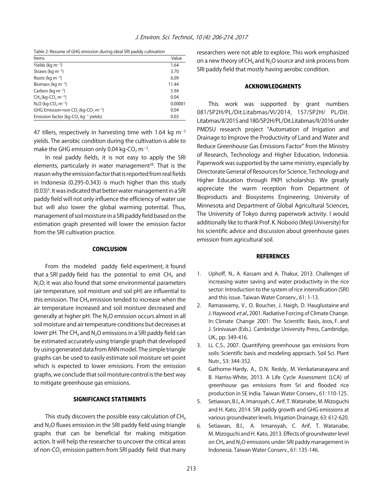Table 2: Resume of GHG emission during ideal SRI paddy cultivation

| Items                                                        | Value   |
|--------------------------------------------------------------|---------|
| Yields (kg $m^{-2}$ )                                        | 1.64    |
| Straws (kg $m^{-2}$ )                                        | 3.70    |
| Roots (kg $m^{-2}$ )                                         | 6.09    |
| Biomass (kg m <sup>-2</sup> )                                | 11.44   |
| Carbon (kg $m^{-2}$ )                                        | 5.94    |
| $CH4$ (kg-CO <sub>2</sub> m <sup>-2</sup> )                  | 0.04    |
| $N2O$ (kg-CO <sub>2</sub> m <sup>-2</sup> )                  | 0.00001 |
| GHG Emission-non $CO2$ (kg-CO <sub>2</sub> m <sup>-2</sup> ) | 0.04    |
| Emission factor (kg-CO <sub>2</sub> kg <sup>-1</sup> yields) | 0.03    |

47 tillers, respectively in harvesting time with 1.64 kg  $m^{-2}$ yields. The aerobic condition during the cultivation is able to make the GHG emission only 0.04 kg-CO $_2$  m $^{\rm -2}.$ 

In real paddy fields, it is not easy to apply the SRI elements, particularly in water management $^{28}$ . That is the reason why the emission factor that is reported from real fields in Indonesia (0.295-0.343) is much higher than this study  $(0.03)^5$ . It was indicated that better water management in a SRI paddy field will not only influence the efficiency of water use but will also lower the global warming potential. Thus, management of soil moisture in a SRI paddy field based on the estimation graph presented will lower the emission factor from the SRI cultivation practice.

## **CONCLUSION**

From the modeled paddy field experiment, it found that a SRI paddy field has the potential to emit  $CH<sub>4</sub>$  and  $N<sub>2</sub>O$ ; it was also found that some environmental parameters (air temperature, soil moisture and soil pH) are influential to this emission. The  $CH_4$  emission tended to increase when the air temperature increased and soil moisture decreased and generally at higher pH. The N<sub>2</sub>O emission occurs almost in all soil moisture and air temperature conditions but decreases at lower pH. The  $CH_4$  and N<sub>2</sub>O emissions in a SRI paddy field can be estimated accurately using triangle graph that developed by using generated data from ANN model. The simple triangle graphs can be used to easily estimate soil moisture set-point which is expected to lower emissions. From the emission graphs, we conclude that soil moisture control is the best way to mitigate greenhouse gas emissions.

#### SIGNIFICANCE STATEMENTS

This study discovers the possible easy calculation of  $CH<sub>4</sub>$ and  $N<sub>2</sub>O$  fluxes emission in the SRI paddy field using triangle graphs that can be beneficial for making mitigation action. It will help the researcher to uncover the critical areas of non-CO<sub>2</sub> emission pattern from SRI paddy field that many researchers were not able to explore. This work emphasized on a new theory of  $CH<sub>4</sub>$  and N<sub>2</sub>O source and sink process from SRI paddy field that mostly having aerobic condition.

# ACKNOWLEDGMENTS

This work was supported by grant numbers 081/SP2H/PL/Dit.Litabmas/VI/2014, 157/SP2H/ PL/Dit. Litabmas/II/2015 and 180/SP2H/PL/Dit.Litabmas/II/2016 under PMDSU research project "Automation of Irrigation and Drainage to Improve the Productivity of Land and Water and Reduce Greenhouse Gas Emissions Factor" from the Ministry of Research, Technology and Higher Education, Indonesia. Paperwork was supported by the same ministry, especially by Directorate General of Resources for Science, Technology and Higher Education through PKPI scholarship. We greatly appreciate the warm reception from Department of Bioproducts and Biosystems Engineering, University of Minnesota and Department of Global Agricultural Sciences, The University of Tokyo during paperwork activity. I would additionally like to thank Prof. K. Noborio (Meiji University) for his scientific advice and discussion about greenhouse gases emission from agricultural soil.

#### **REFERENCES**

- 1. Uphoff, N., A. Kassam and A. Thakur, 2013. Challenges of increasing water saving and water productivity in the rice sector: Introduction to the system of rice intensification (SRI) and this issue. Taiwan Water Conserv., 61: 1-13.
- 2. Ramaswamy, V., O. Boucher, J. Haigh, D. Hauglustaine and J. Haywood et al., 2001. Radiative Forcing of Climate Change. In: Climate Change 2001: The Scientific Basis, Joos, F. and J. Srinivasan (Eds.). Cambridge University Press, Cambridge, UK., pp: 349-416.
- 3. Li, C.S., 2007. Quantifying greenhouse gas emissions from soils: Scientific basis and modeling approach. Soil Sci. Plant Nutr., 53: 344-352.
- 4. Gathorne-Hardy, A., D.N. Reddy, M. Venkatanarayana and B. Harriss-White, 2013. A Life Cycle Assessment (LCA) of greenhouse gas emissions from Sri and flooded rice production in SE India. Taiwan Water Conserv., 61: 110-125.
- 5. Setiawan, B.I., A. Imansyah, C. Arif, T. Watanabe, M. Mizoguchi and H. Kato, 2014. SRI paddy growth and GHG emissions at various groundwater levels. Irrigation Drainage, 63: 612-620.
- 6. Setiawan, B.I., A. Irmansyah, C. Arif, T. Watanabe, M. Mizoguchi and H. Kato, 2013. Effects of groundwater level on  $CH<sub>4</sub>$  and N<sub>2</sub>O emissions under SRI paddy management in Indonesia. Taiwan Water Conserv., 61: 135-146.